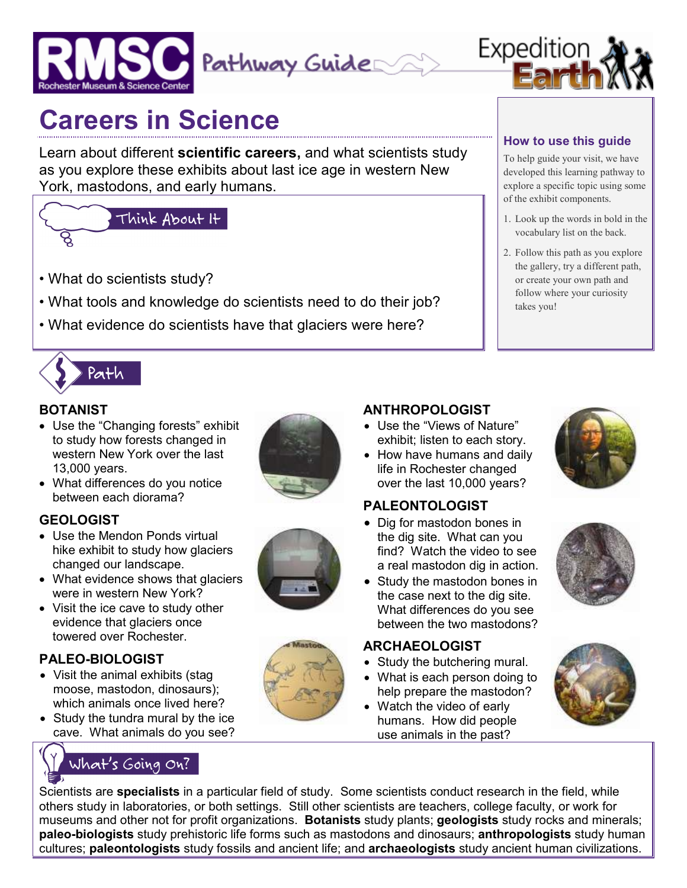



# **Careers in Science**

Learn about different **scientific careers,** and what scientists study as you explore these exhibits about last ice age in western New York, mastodons, and early humans.

# Think About It

- What do scientists study?
- What tools and knowledge do scientists need to do their job?
- What evidence do scientists have that glaciers were here?



### **BOTANIST**

• Use the "Changing forests" exhibit to study how forests changed in western New York over the last 13,000 years.



• What differences do you notice between each diorama?

### **GEOLOGIST**

- Use the Mendon Ponds virtual hike exhibit to study how glaciers changed our landscape.
- What evidence shows that glaciers were in western New York?
- Visit the ice cave to study other evidence that glaciers once towered over Rochester.

### **PALEO-BIOLOGIST**

- Visit the animal exhibits (stag moose, mastodon, dinosaurs); which animals once lived here?
- Study the tundra mural by the ice cave. What animals do you see?

## What's Going On?





- **ANTHROPOLOGIST**  • Use the "Views of Nature" exhibit; listen to each story.
- How have humans and daily life in Rochester changed over the last 10,000 years?

### **PALEONTOLOGIST**

- Dig for mastodon bones in the dig site. What can you find? Watch the video to see a real mastodon dig in action.
- Study the mastodon bones in the case next to the dig site. What differences do you see between the two mastodons?

### **ARCHAEOLOGIST**

- Study the butchering mural.
- What is each person doing to help prepare the mastodon?
- Watch the video of early humans. How did people use animals in the past?







Scientists are **specialists** in a particular field of study. Some scientists conduct research in the field, while others study in laboratories, or both settings. Still other scientists are teachers, college faculty, or work for museums and other not for profit organizations. **Botanists** study plants; **geologists** study rocks and minerals; **paleo-biologists** study prehistoric life forms such as mastodons and dinosaurs; **anthropologists** study human cultures; **paleontologists** study fossils and ancient life; and **archaeologists** study ancient human civilizations.

### **How to use this guide**

To help guide your visit, we have developed this learning pathway to explore a specific topic using some of the exhibit components.

- 1. Look up the words in bold in the vocabulary list on the back.
- 2. Follow this path as you explore the gallery, try a different path, or create your own path and follow where your curiosity takes you!